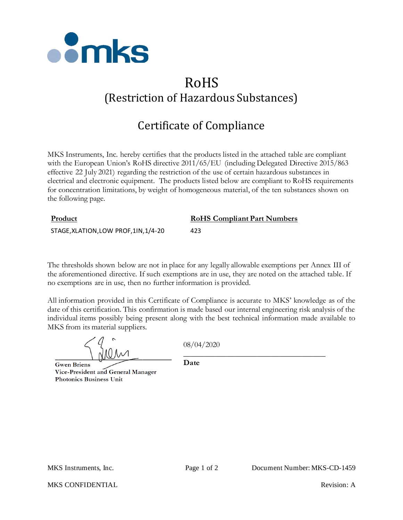

## RoHS (Restriction of Hazardous Substances)

## Certificate of Compliance

MKS Instruments, Inc. hereby certifies that the products listed in the attached table are compliant with the European Union's RoHS directive 2011/65/EU (including Delegated Directive 2015/863 effective 22 July 2021) regarding the restriction of the use of certain hazardous substances in electrical and electronic equipment. The products listed below are compliant to RoHS requirements for concentration limitations, by weight of homogeneous material, of the ten substances shown on the following page.

| Product                               | <b>RoHS</b> Compliant Part Numbers |
|---------------------------------------|------------------------------------|
| STAGE, XLATION, LOW PROF, 1IN, 1/4-20 | 423                                |

The thresholds shown below are not in place for any legally allowable exemptions per Annex III of the aforementioned directive. If such exemptions are in use, they are noted on the attached table. If no exemptions are in use, then no further information is provided.

All information provided in this Certificate of Compliance is accurate to MKS' knowledge as of the date of this certification. This confirmation is made based our internal engineering risk analysis of the individual items possibly being present along with the best technical information made available to MKS from its material suppliers.

**Gwen Briens** Vice-President and General Manager **Photonics Business Unit** 

08/04/2020

\_\_\_\_\_\_\_\_\_\_\_\_\_\_\_\_\_\_\_\_\_\_\_\_\_\_\_\_\_\_\_\_\_\_\_\_

**Date**